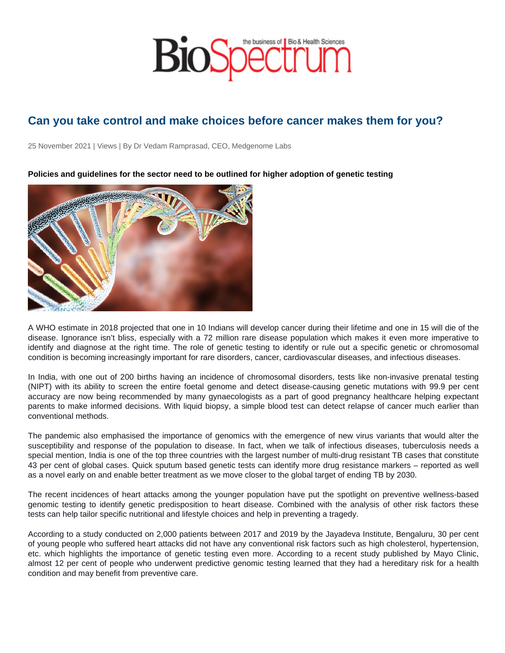## Can you take control and make choices before cancer makes them for you?

25 November 2021 | Views | By Dr Vedam Ramprasad, CEO, Medgenome Labs

Policies and guidelines for the sector need to be outlined for higher adoption of genetic testing

A WHO estimate in 2018 projected that one in 10 Indians will develop cancer during their lifetime and one in 15 will die of the disease. Ignorance isn't bliss, especially with a 72 million rare disease population which makes it even more imperative to identify and diagnose at the right time. The role of genetic testing to identify or rule out a specific genetic or chromosomal condition is becoming increasingly important for rare disorders, cancer, cardiovascular diseases, and infectious diseases.

In India, with one out of 200 births having an incidence of chromosomal disorders, tests like non-invasive prenatal testing (NIPT) with its ability to screen the entire foetal genome and detect disease-causing genetic mutations with 99.9 per cent accuracy are now being recommended by many gynaecologists as a part of good pregnancy healthcare helping expectant parents to make informed decisions. With liquid biopsy, a simple blood test can detect relapse of cancer much earlier than conventional methods.

The pandemic also emphasised the importance of genomics with the emergence of new virus variants that would alter the susceptibility and response of the population to disease. In fact, when we talk of infectious diseases, tuberculosis needs a special mention, India is one of the top three countries with the largest number of multi-drug resistant TB cases that constitute 43 per cent of global cases. Quick sputum based genetic tests can identify more drug resistance markers – reported as well as a novel early on and enable better treatment as we move closer to the global target of ending TB by 2030.

The recent incidences of heart attacks among the younger population have put the spotlight on preventive wellness-based genomic testing to identify genetic predisposition to heart disease. Combined with the analysis of other risk factors these tests can help tailor specific nutritional and lifestyle choices and help in preventing a tragedy.

According to a study conducted on 2,000 patients between 2017 and 2019 by the Jayadeva Institute, Bengaluru, 30 per cent of young people who suffered heart attacks did not have any conventional risk factors such as high cholesterol, hypertension, etc. which highlights the importance of genetic testing even more. According to a recent study published by Mayo Clinic, almost 12 per cent of people who underwent predictive genomic testing learned that they had a hereditary risk for a health condition and may benefit from preventive care.